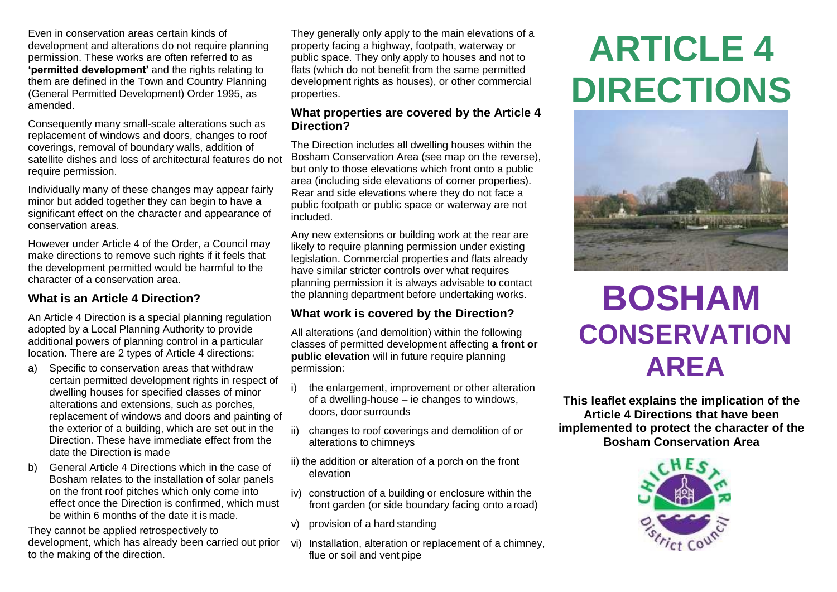Even in conservation areas certain kinds of development and alterations do not require planning permission. These works are often referred to as **'permitted development'** and the rights relating to them are defined in the Town and Country Planning (General Permitted Development) Order 1995, as amended.

Consequently many small-scale alterations such as replacement of windows and doors, changes to roof coverings, removal of boundary walls, addition of satellite dishes and loss of architectural features do not require permission.

Individually many of these changes may appear fairly minor but added together they can begin to have a significant effect on the character and appearance of conservation areas.

However under Article 4 of the Order, a Council may make directions to remove such rights if it feels that the development permitted would be harmful to the character of a conservation area.

### **What is an Article 4 Direction?**

An Article 4 Direction is a special planning regulation adopted by a Local Planning Authority to provide additional powers of planning control in a particular location. There are 2 types of Article 4 directions:

- a) Specific to conservation areas that withdraw certain permitted development rights in respect of dwelling houses for specified classes of minor alterations and extensions, such as porches, replacement of windows and doors and painting of the exterior of a building, which are set out in the Direction. These have immediate effect from the date the Direction is made
- b) General Article 4 Directions which in the case of Bosham relates to the installation of solar panels on the front roof pitches which only come into effect once the Direction is confirmed, which must be within 6 months of the date it is made.

They cannot be applied retrospectively to development, which has already been carried out prior to the making of the direction.

They generally only apply to the main elevations of a property facing a highway, footpath, waterway or public space. They only apply to houses and not to flats (which do not benefit from the same permitted development rights as houses), or other commercial properties.

#### **What properties are covered by the Article 4 Direction?**

The Direction includes all dwelling houses within the Bosham Conservation Area (see map on the reverse), but only to those elevations which front onto a public area (including side elevations of corner properties). Rear and side elevations where they do not face a public footpath or public space or waterway are not included.

Any new extensions or building work at the rear are likely to require planning permission under existing legislation. Commercial properties and flats already have similar stricter controls over what requires planning permission it is always advisable to contact the planning department before undertaking works.

# **What work is covered by the Direction?**

All alterations (and demolition) within the following classes of permitted development affecting **a front or public elevation** will in future require planning permission:

- i) the enlargement, improvement or other alteration of a dwelling-house – ie changes to windows, doors, door surrounds
- changes to roof coverings and demolition of or alterations to chimneys
- ii) the addition or alteration of a porch on the front elevation
- iv) construction of a building or enclosure within the front garden (or side boundary facing onto a road)
- v) provision of a hard standing
- vi) Installation, alteration or replacement of a chimney, flue or soil and vent pipe

# **ARTICLE 4 DIRECTIONS**



# **BOSHAM CONSERVATION AREA**

**This leaflet explains the implication of the Article 4 Directions that have been implemented to protect the character of the Bosham Conservation Area**